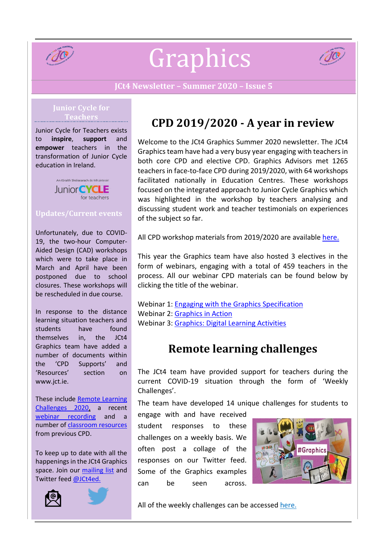

# Graphics



#### **JCt4 Newsletter – Summer 2020 – Issue 5**

#### **Junior Cycle for Teachers**

Junior Cycle for Teachers exists to **inspire**, **support** and **empower** teachers in the transformation of Junior Cycle education in Ireland.



## **Updates/Current events**

Unfortunately, due to COVID-19, the two-hour Computer-Aided Design (CAD) workshops which were to take place in March and April have been postponed due to school closures. These workshops will be rescheduled in due course.

In response to the distance learning situation teachers and students have found themselves in, the JCt4 Graphics team have added a number of documents within the 'CPD Supports' and 'Resources' section on www.jct.ie.

These include [Remote Learning](https://www.jct.ie/technologies/resources_graphics)  [Challenges 2020,](https://www.jct.ie/technologies/resources_graphics) a recent [webinar recording](https://www.jct.ie/technologies/cpd_supports_graphics_elective_workshops) and a number of [classroom resources](https://www.jct.ie/technologies/resources_graphics) from previous CPD.

To keep up to date with all the happenings in the JCt4 Graphics space. Join our [mailing](https://docs.google.com/forms/d/1Qy2bpfqL6a5-k-qMYT_MtP0NL0oxLNUZKlxq1hI_gzY/viewform?edit_requested=true) list and Twitter feed [@JCt4ed.](https://twitter.com/JCt4ed)





## **CPD 2019/2020 - A year in review**

Welcome to the JCt4 Graphics Summer 2020 newsletter. The JCt4 Graphics team have had a very busy year engaging with teachers in both core CPD and elective CPD. Graphics Advisors met 1265 teachers in face-to-face CPD during 2019/2020, with 64 workshops facilitated nationally in Education Centres. These workshops focused on the integrated approach to Junior Cycle Graphics which was highlighted in the workshop by teachers analysing and discussing student work and teacher testimonials on experiences of the subject so far.

All CPD workshop materials from 2019/2020 are availabl[e here.](https://www.jct.ie/technologies/cpd_supports_graphics_cpd_workshops_2019_2020)

This year the Graphics team have also hosted 3 electives in the form of webinars, engaging with a total of 459 teachers in the process. All our webinar CPD materials can be found below by clicking the title of the webinar.

Webinar 1: [Engaging with the Graphics Specification](https://www.jct.ie/technologies/cpd_supports_graphics_elective_workshops) Webinar 2: [Graphics in Action](https://www.jct.ie/technologies/cpd_supports_graphics_elective_workshops) Webinar 3: Graphics: [Digital Learning Activities](https://www.jct.ie/technologies/cpd_supports_graphics_elective_workshops)

## **Remote learning challenges**

The JCt4 team have provided support for teachers during the current COVID-19 situation through the form of 'Weekly Challenges'.

The team have developed 14 unique challenges for students to

engage with and have received student responses to these challenges on a weekly basis. We often post a collage of the responses on our Twitter feed. Some of the Graphics examples can be seen across.



All of the weekly challenges can be accessed [here.](https://www.jct.ie/technologies/resources_graphics)